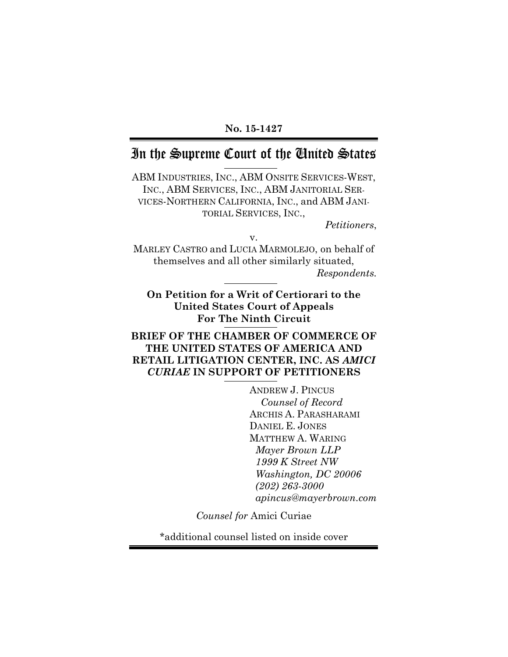#### **No. 15-1427**

# In the Supreme Court of the United States

ABM INDUSTRIES, INC., ABM ONSITE SERVICES-WEST, INC., ABM SERVICES, INC., ABM JANITORIAL SER-VICES-NORTHERN CALIFORNIA, INC., and ABM JANI-TORIAL SERVICES, INC.,

*Petitioners*,

v.

MARLEY CASTRO and LUCIA MARMOLEJO, on behalf of themselves and all other similarly situated, *Respondents.*

**On Petition for a Writ of Certiorari to the United States Court of Appeals For The Ninth Circuit**

### **BRIEF OF THE CHAMBER OF COMMERCE OF THE UNITED STATES OF AMERICA AND RETAIL LITIGATION CENTER, INC. AS** *AMICI CURIAE* **IN SUPPORT OF PETITIONERS**

ANDREW J. PINCUS *Counsel of Record* ARCHIS A. PARASHARAMI DANIEL E. JONES MATTHEW A. WARING *Mayer Brown LLP 1999 K Street NW Washington, DC 20006 (202) 263-3000 apincus@mayerbrown.com*

*Counsel for* Amici Curiae

\*additional counsel listed on inside cover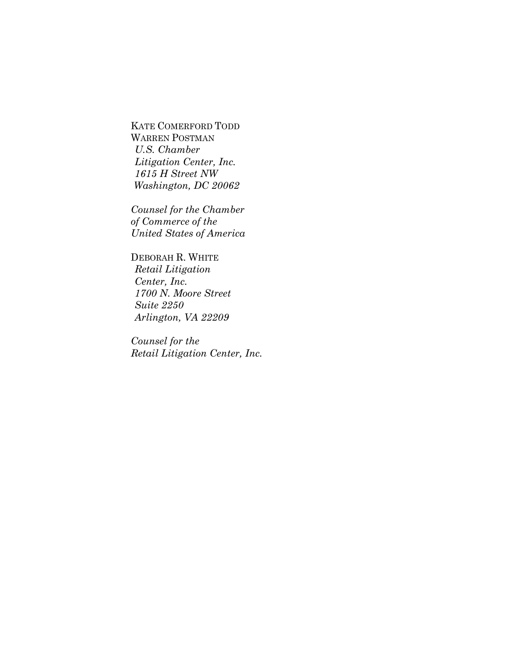KATE COMERFORD TODD WARREN POSTMAN *U.S. Chamber Litigation Center, Inc. 1615 H Street NW Washington, DC 20062*

*Counsel for the Chamber of Commerce of the United States of America*

DEBORAH R. WHITE *Retail Litigation Center, Inc. 1700 N. Moore Street Suite 2250 Arlington, VA 22209*

*Counsel for the Retail Litigation Center, Inc.*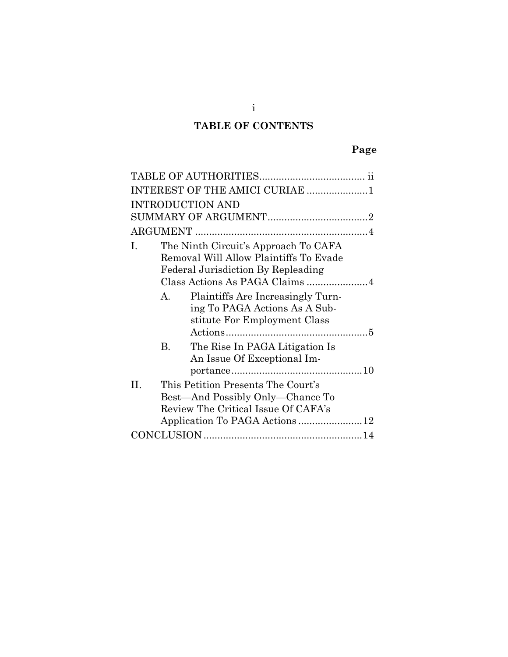# **TABLE OF CONTENTS**

| INTEREST OF THE AMICI CURIAE 1                                                                                             |  |  |  |  |
|----------------------------------------------------------------------------------------------------------------------------|--|--|--|--|
| <b>INTRODUCTION AND</b>                                                                                                    |  |  |  |  |
|                                                                                                                            |  |  |  |  |
|                                                                                                                            |  |  |  |  |
| The Ninth Circuit's Approach To CAFA<br>Ι.<br>Removal Will Allow Plaintiffs To Evade<br>Federal Jurisdiction By Repleading |  |  |  |  |
| Plaintiffs Are Increasingly Turn-<br>A.<br>ing To PAGA Actions As A Sub-<br>stitute For Employment Class                   |  |  |  |  |
| The Rise In PAGA Litigation Is<br>В.<br>An Issue Of Exceptional Im-                                                        |  |  |  |  |
| This Petition Presents The Court's<br>H.<br>Best—And Possibly Only—Chance To<br>Review The Critical Issue Of CAFA's        |  |  |  |  |
|                                                                                                                            |  |  |  |  |

i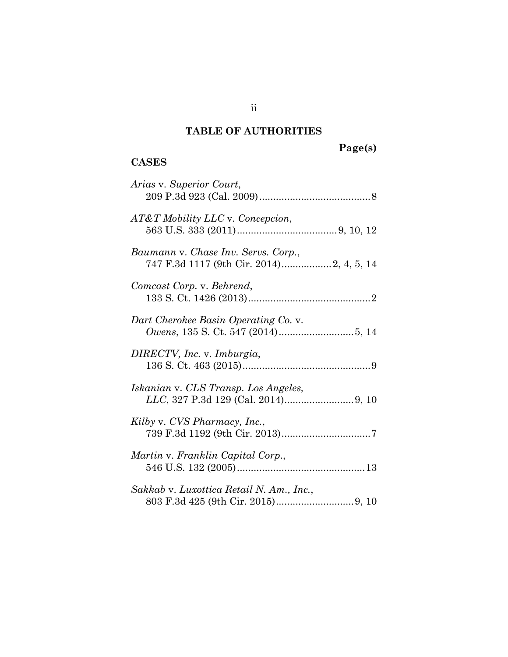# **TABLE OF AUTHORITIES**

# **Page(s)**

### **CASES**

| Arias v. Superior Court,                                                        |
|---------------------------------------------------------------------------------|
| AT&T Mobility LLC v. Concepcion,                                                |
| Baumann v. Chase Inv. Servs. Corp.,<br>747 F.3d 1117 (9th Cir. 2014)2, 4, 5, 14 |
| Comcast Corp. v. Behrend,                                                       |
| Dart Cherokee Basin Operating Co. v.                                            |
| DIRECTV, Inc. v. Imburgia,                                                      |
| Iskanian v. CLS Transp. Los Angeles,                                            |
| Kilby v. CVS Pharmacy, Inc.,                                                    |
| Martin v. Franklin Capital Corp.,                                               |
| Sakkab v. Luxottica Retail N. Am., Inc.,                                        |

ii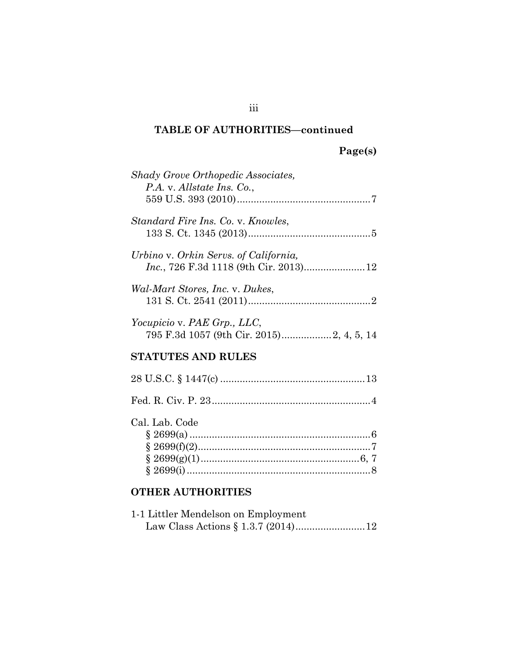# **Page(s)**

| Shady Grove Orthopedic Associates,<br>P.A. v. Allstate Ins. Co.,         |
|--------------------------------------------------------------------------|
| Standard Fire Ins. Co. v. Knowles,                                       |
| Urbino v. Orkin Servs. of California,                                    |
| Wal-Mart Stores, Inc. v. Dukes,                                          |
| Yocupicio v. PAE Grp., LLC,<br>795 F.3d 1057 (9th Cir. 2015) 2, 4, 5, 14 |
| <b>STATUTES AND RULES</b>                                                |
|                                                                          |
|                                                                          |
| Cal. Lab. Code                                                           |

## **OTHER AUTHORITIES**

| 1-1 Littler Mendelson on Employment |  |
|-------------------------------------|--|
|                                     |  |

iii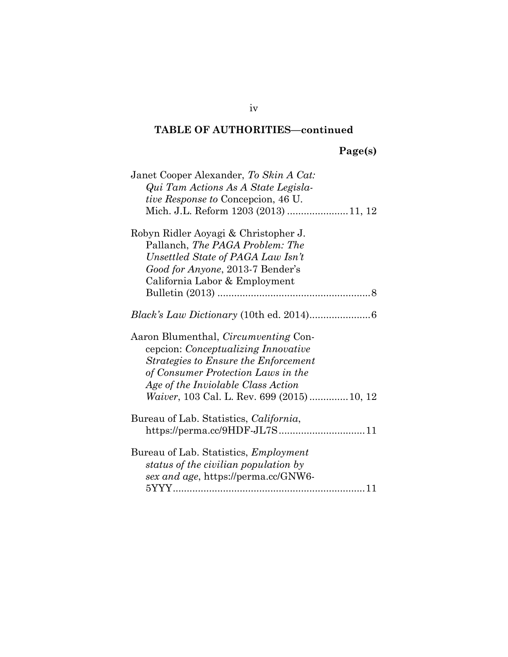|  |  | age(s) |  |
|--|--|--------|--|
|  |  |        |  |

| Janet Cooper Alexander, To Skin A Cat:<br>Qui Tam Actions As A State Legisla-<br><i>tive Response to</i> Concepcion, 46 U.<br>Mich. J.L. Reform 1203 (2013) 11, 12                                                                                                   |
|----------------------------------------------------------------------------------------------------------------------------------------------------------------------------------------------------------------------------------------------------------------------|
| Robyn Ridler Aoyagi & Christopher J.<br>Pallanch, The PAGA Problem: The<br>Unsettled State of PAGA Law Isn't<br>Good for Anyone, 2013-7 Bender's<br>California Labor & Employment                                                                                    |
|                                                                                                                                                                                                                                                                      |
| Aaron Blumenthal, <i>Circumventing</i> Con-<br>cepcion: <i>Conceptualizing Innovative</i><br>Strategies to Ensure the Enforcement<br>of Consumer Protection Laws in the<br>Age of the Inviolable Class Action<br><i>Waiver</i> , 103 Cal. L. Rev. 699 (2015)  10, 12 |
| Bureau of Lab. Statistics, California,                                                                                                                                                                                                                               |
| Bureau of Lab. Statistics, <i>Employment</i><br>status of the civilian population by<br>sex and age, https://perma.cc/GNW6-                                                                                                                                          |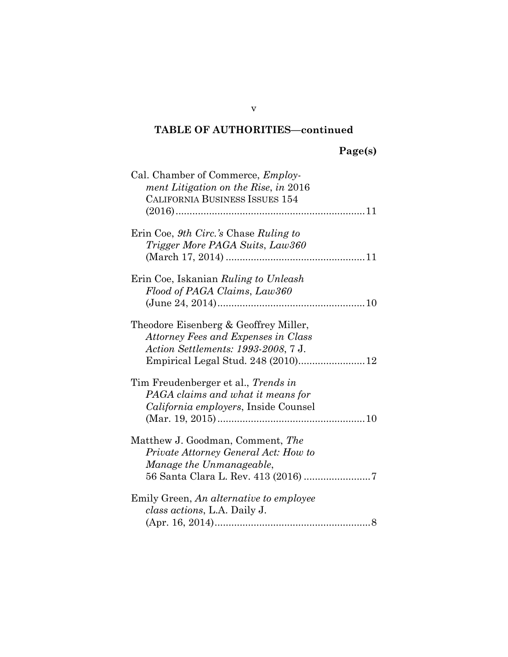| Cal. Chamber of Commerce, <i>Employ</i> -<br>ment Litigation on the Rise, in 2016 |
|-----------------------------------------------------------------------------------|
|                                                                                   |
| <b>CALIFORNIA BUSINESS ISSUES 154</b>                                             |
|                                                                                   |
|                                                                                   |
| Erin Coe, 9th Circ.'s Chase Ruling to                                             |
| Trigger More PAGA Suits, Law360                                                   |
|                                                                                   |
|                                                                                   |
| Erin Coe, Iskanian Ruling to Unleash                                              |
| Flood of PAGA Claims, Law360                                                      |
|                                                                                   |
|                                                                                   |
| Theodore Eisenberg & Geoffrey Miller,                                             |
| Attorney Fees and Expenses in Class                                               |
| <i>Action Settlements: 1993-2008, 7 J.</i>                                        |
| Empirical Legal Stud. 248 (2010) 12                                               |
|                                                                                   |
| Tim Freudenberger et al., <i>Trends in</i>                                        |
| PAGA claims and what it means for                                                 |
| California employers, Inside Counsel                                              |
|                                                                                   |
|                                                                                   |
| Matthew J. Goodman, Comment, The                                                  |
| Private Attorney General Act: How to                                              |
| Manage the Unmanageable,                                                          |
|                                                                                   |
|                                                                                   |
| Emily Green, An alternative to employee                                           |
| class actions, L.A. Daily J.                                                      |
|                                                                                   |
|                                                                                   |

v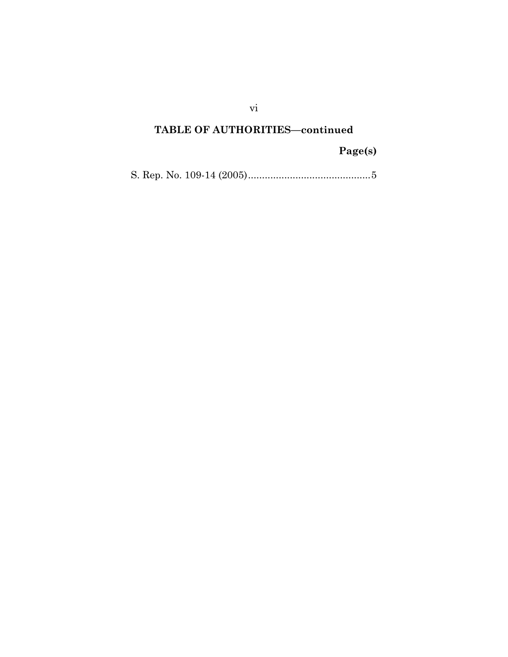# **Page(s)**

S. Rep. No. 109-14 (2005)............................................5

vi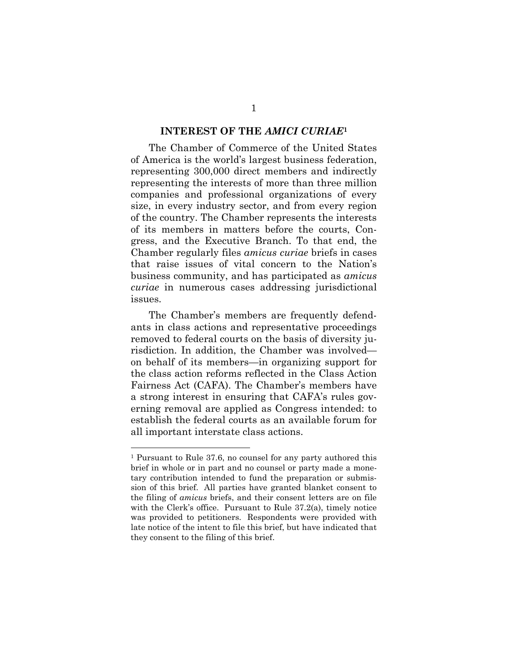#### **INTEREST OF THE** *AMICI CURIAE***<sup>1</sup>**

The Chamber of Commerce of the United States of America is the world's largest business federation, representing 300,000 direct members and indirectly representing the interests of more than three million companies and professional organizations of every size, in every industry sector, and from every region of the country. The Chamber represents the interests of its members in matters before the courts, Congress, and the Executive Branch. To that end, the Chamber regularly files *amicus curiae* briefs in cases that raise issues of vital concern to the Nation's business community, and has participated as *amicus curiae* in numerous cases addressing jurisdictional issues.

The Chamber's members are frequently defendants in class actions and representative proceedings removed to federal courts on the basis of diversity jurisdiction. In addition, the Chamber was involved on behalf of its members—in organizing support for the class action reforms reflected in the Class Action Fairness Act (CAFA). The Chamber's members have a strong interest in ensuring that CAFA's rules governing removal are applied as Congress intended: to establish the federal courts as an available forum for all important interstate class actions.

<sup>1</sup> Pursuant to Rule 37.6, no counsel for any party authored this brief in whole or in part and no counsel or party made a monetary contribution intended to fund the preparation or submission of this brief. All parties have granted blanket consent to the filing of *amicus* briefs, and their consent letters are on file with the Clerk's office. Pursuant to Rule 37.2(a), timely notice was provided to petitioners. Respondents were provided with late notice of the intent to file this brief, but have indicated that they consent to the filing of this brief.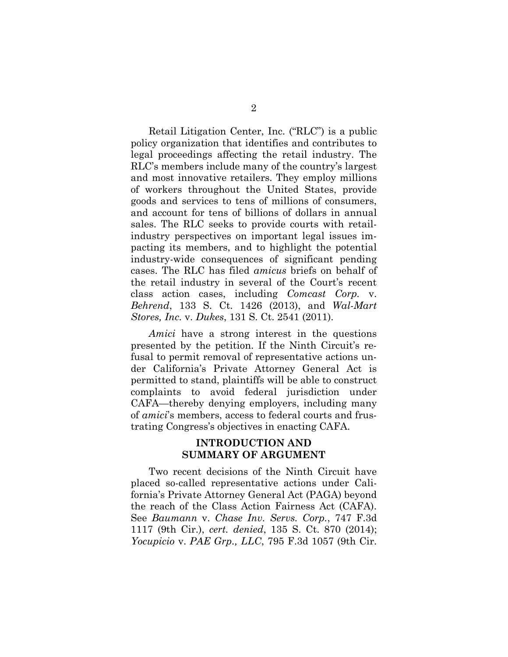Retail Litigation Center, Inc. ("RLC") is a public policy organization that identifies and contributes to legal proceedings affecting the retail industry. The RLC's members include many of the country's largest and most innovative retailers. They employ millions of workers throughout the United States, provide goods and services to tens of millions of consumers, and account for tens of billions of dollars in annual sales. The RLC seeks to provide courts with retailindustry perspectives on important legal issues impacting its members, and to highlight the potential industry-wide consequences of significant pending cases. The RLC has filed *amicus* briefs on behalf of the retail industry in several of the Court's recent class action cases, including *Comcast Corp.* v. *Behrend*, 133 S. Ct. 1426 (2013), and *Wal-Mart Stores, Inc.* v. *Dukes*, 131 S. Ct. 2541 (2011).

*Amici* have a strong interest in the questions presented by the petition. If the Ninth Circuit's refusal to permit removal of representative actions under California's Private Attorney General Act is permitted to stand, plaintiffs will be able to construct complaints to avoid federal jurisdiction under CAFA—thereby denying employers, including many of *amici*'s members, access to federal courts and frustrating Congress's objectives in enacting CAFA.

### **INTRODUCTION AND SUMMARY OF ARGUMENT**

Two recent decisions of the Ninth Circuit have placed so-called representative actions under California's Private Attorney General Act (PAGA) beyond the reach of the Class Action Fairness Act (CAFA). See *Baumann* v. *Chase Inv. Servs. Corp.*, 747 F.3d 1117 (9th Cir.), *cert. denied*, 135 S. Ct. 870 (2014); *Yocupicio* v. *PAE Grp., LLC*, 795 F.3d 1057 (9th Cir.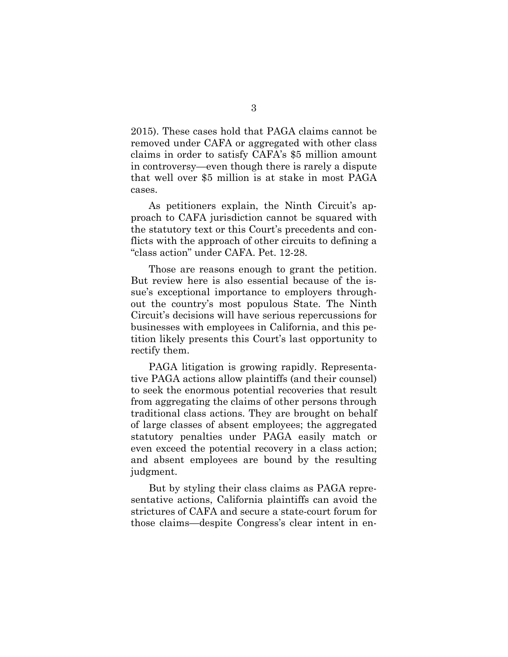2015). These cases hold that PAGA claims cannot be removed under CAFA or aggregated with other class claims in order to satisfy CAFA's \$5 million amount in controversy—even though there is rarely a dispute that well over \$5 million is at stake in most PAGA cases.

As petitioners explain, the Ninth Circuit's approach to CAFA jurisdiction cannot be squared with the statutory text or this Court's precedents and conflicts with the approach of other circuits to defining a "class action" under CAFA. Pet. 12-28.

Those are reasons enough to grant the petition. But review here is also essential because of the issue's exceptional importance to employers throughout the country's most populous State. The Ninth Circuit's decisions will have serious repercussions for businesses with employees in California, and this petition likely presents this Court's last opportunity to rectify them.

PAGA litigation is growing rapidly. Representative PAGA actions allow plaintiffs (and their counsel) to seek the enormous potential recoveries that result from aggregating the claims of other persons through traditional class actions. They are brought on behalf of large classes of absent employees; the aggregated statutory penalties under PAGA easily match or even exceed the potential recovery in a class action; and absent employees are bound by the resulting judgment.

But by styling their class claims as PAGA representative actions, California plaintiffs can avoid the strictures of CAFA and secure a state-court forum for those claims—despite Congress's clear intent in en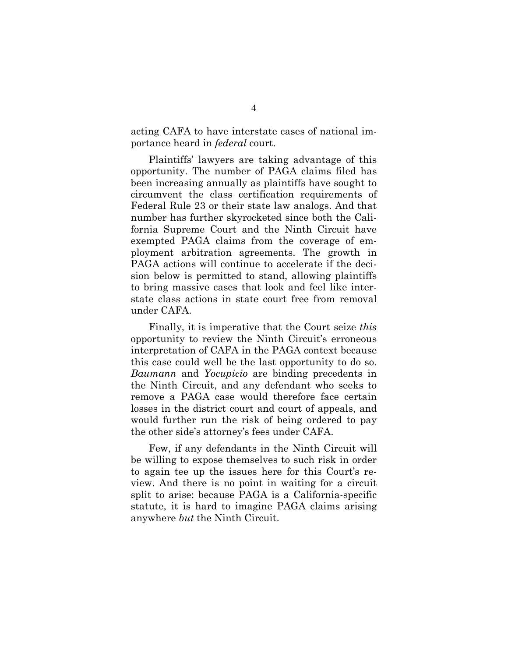acting CAFA to have interstate cases of national importance heard in *federal* court.

Plaintiffs' lawyers are taking advantage of this opportunity. The number of PAGA claims filed has been increasing annually as plaintiffs have sought to circumvent the class certification requirements of Federal Rule 23 or their state law analogs. And that number has further skyrocketed since both the California Supreme Court and the Ninth Circuit have exempted PAGA claims from the coverage of employment arbitration agreements. The growth in PAGA actions will continue to accelerate if the decision below is permitted to stand, allowing plaintiffs to bring massive cases that look and feel like interstate class actions in state court free from removal under CAFA.

Finally, it is imperative that the Court seize *this* opportunity to review the Ninth Circuit's erroneous interpretation of CAFA in the PAGA context because this case could well be the last opportunity to do so. *Baumann* and *Yocupicio* are binding precedents in the Ninth Circuit, and any defendant who seeks to remove a PAGA case would therefore face certain losses in the district court and court of appeals, and would further run the risk of being ordered to pay the other side's attorney's fees under CAFA.

Few, if any defendants in the Ninth Circuit will be willing to expose themselves to such risk in order to again tee up the issues here for this Court's review. And there is no point in waiting for a circuit split to arise: because PAGA is a California-specific statute, it is hard to imagine PAGA claims arising anywhere *but* the Ninth Circuit.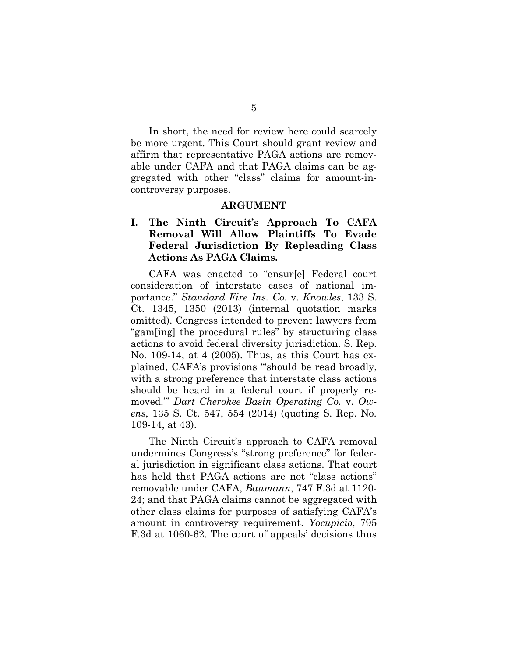In short, the need for review here could scarcely be more urgent. This Court should grant review and affirm that representative PAGA actions are removable under CAFA and that PAGA claims can be aggregated with other "class" claims for amount-incontroversy purposes.

#### **ARGUMENT**

### **I. The Ninth Circuit's Approach To CAFA Removal Will Allow Plaintiffs To Evade Federal Jurisdiction By Repleading Class Actions As PAGA Claims.**

CAFA was enacted to "ensur[e] Federal court consideration of interstate cases of national importance." *Standard Fire Ins. Co.* v. *Knowles*, 133 S. Ct. 1345, 1350 (2013) (internal quotation marks omitted). Congress intended to prevent lawyers from "gam[ing] the procedural rules" by structuring class actions to avoid federal diversity jurisdiction. S. Rep. No. 109-14, at 4 (2005). Thus, as this Court has explained, CAFA's provisions "'should be read broadly, with a strong preference that interstate class actions should be heard in a federal court if properly removed.'" *Dart Cherokee Basin Operating Co.* v. *Owens*, 135 S. Ct. 547, 554 (2014) (quoting S. Rep. No. 109-14, at 43).

The Ninth Circuit's approach to CAFA removal undermines Congress's "strong preference" for federal jurisdiction in significant class actions. That court has held that PAGA actions are not "class actions" removable under CAFA, *Baumann*, 747 F.3d at 1120- 24; and that PAGA claims cannot be aggregated with other class claims for purposes of satisfying CAFA's amount in controversy requirement. *Yocupicio*, 795 F.3d at 1060-62. The court of appeals' decisions thus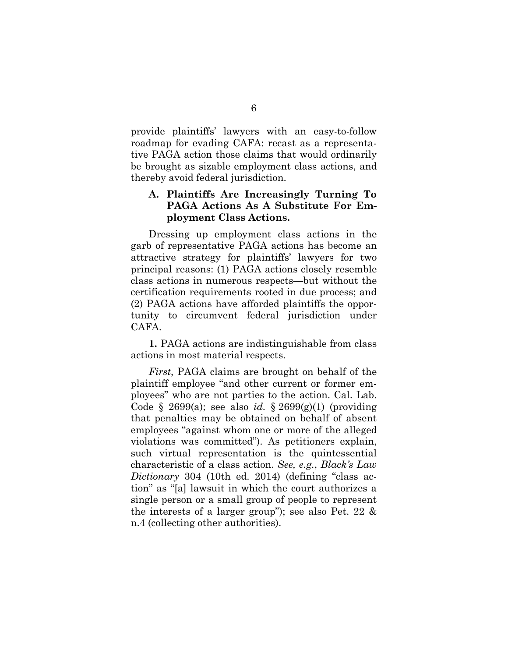provide plaintiffs' lawyers with an easy-to-follow roadmap for evading CAFA: recast as a representative PAGA action those claims that would ordinarily be brought as sizable employment class actions, and thereby avoid federal jurisdiction.

### **A. Plaintiffs Are Increasingly Turning To PAGA Actions As A Substitute For Employment Class Actions.**

Dressing up employment class actions in the garb of representative PAGA actions has become an attractive strategy for plaintiffs' lawyers for two principal reasons: (1) PAGA actions closely resemble class actions in numerous respects—but without the certification requirements rooted in due process; and (2) PAGA actions have afforded plaintiffs the opportunity to circumvent federal jurisdiction under CAFA.

**1.** PAGA actions are indistinguishable from class actions in most material respects.

*First*, PAGA claims are brought on behalf of the plaintiff employee "and other current or former employees" who are not parties to the action. Cal. Lab. Code § 2699(a); see also *id.* § 2699(g)(1) (providing that penalties may be obtained on behalf of absent employees "against whom one or more of the alleged violations was committed"). As petitioners explain, such virtual representation is the quintessential characteristic of a class action. *See, e.g.*, *Black's Law Dictionary* 304 (10th ed. 2014) (defining "class action" as "[a] lawsuit in which the court authorizes a single person or a small group of people to represent the interests of a larger group"); see also Pet. 22 & n.4 (collecting other authorities).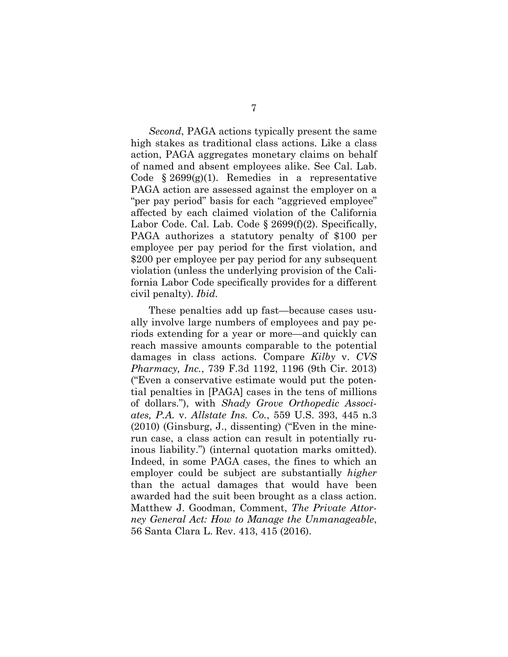*Second*, PAGA actions typically present the same high stakes as traditional class actions. Like a class action, PAGA aggregates monetary claims on behalf of named and absent employees alike. See Cal. Lab. Code  $§ 2699(g)(1)$ . Remedies in a representative PAGA action are assessed against the employer on a "per pay period" basis for each "aggrieved employee" affected by each claimed violation of the California Labor Code. Cal. Lab. Code § 2699(f)(2). Specifically, PAGA authorizes a statutory penalty of \$100 per employee per pay period for the first violation, and \$200 per employee per pay period for any subsequent violation (unless the underlying provision of the California Labor Code specifically provides for a different civil penalty). *Ibid.*

These penalties add up fast—because cases usually involve large numbers of employees and pay periods extending for a year or more—and quickly can reach massive amounts comparable to the potential damages in class actions. Compare *Kilby* v. *CVS Pharmacy, Inc.*, 739 F.3d 1192, 1196 (9th Cir. 2013) ("Even a conservative estimate would put the potential penalties in [PAGA] cases in the tens of millions of dollars."), with *Shady Grove Orthopedic Associates, P.A.* v. *Allstate Ins. Co.*, 559 U.S. 393, 445 n.3 (2010) (Ginsburg, J., dissenting) ("Even in the minerun case, a class action can result in potentially ruinous liability.") (internal quotation marks omitted). Indeed, in some PAGA cases, the fines to which an employer could be subject are substantially *higher* than the actual damages that would have been awarded had the suit been brought as a class action. Matthew J. Goodman, Comment, *The Private Attorney General Act: How to Manage the Unmanageable*, 56 Santa Clara L. Rev. 413, 415 (2016).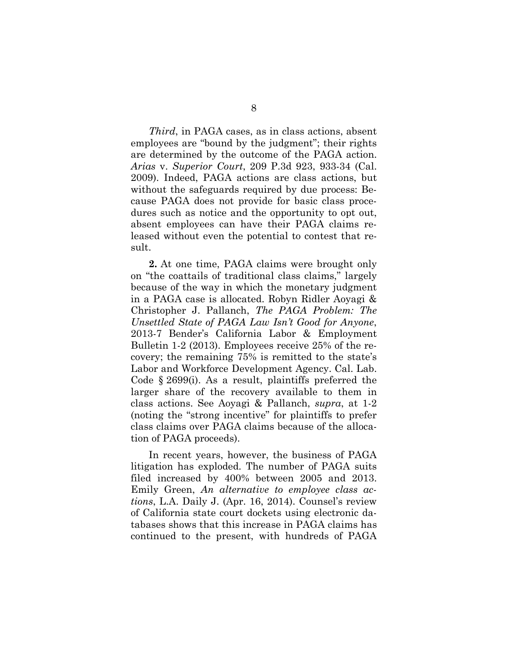*Third*, in PAGA cases, as in class actions, absent employees are "bound by the judgment"; their rights are determined by the outcome of the PAGA action. *Arias* v. *Superior Court*, 209 P.3d 923, 933-34 (Cal. 2009). Indeed, PAGA actions are class actions, but without the safeguards required by due process: Because PAGA does not provide for basic class procedures such as notice and the opportunity to opt out, absent employees can have their PAGA claims released without even the potential to contest that result.

**2.** At one time, PAGA claims were brought only on "the coattails of traditional class claims," largely because of the way in which the monetary judgment in a PAGA case is allocated. Robyn Ridler Aoyagi & Christopher J. Pallanch, *The PAGA Problem: The Unsettled State of PAGA Law Isn't Good for Anyone*, 2013-7 Bender's California Labor & Employment Bulletin 1-2 (2013). Employees receive 25% of the recovery; the remaining 75% is remitted to the state's Labor and Workforce Development Agency. Cal. Lab. Code § 2699(i). As a result, plaintiffs preferred the larger share of the recovery available to them in class actions. See Aoyagi & Pallanch, *supra*, at 1-2 (noting the "strong incentive" for plaintiffs to prefer class claims over PAGA claims because of the allocation of PAGA proceeds).

In recent years, however, the business of PAGA litigation has exploded. The number of PAGA suits filed increased by 400% between 2005 and 2013. Emily Green, *An alternative to employee class actions*, L.A. Daily J. (Apr. 16, 2014). Counsel's review of California state court dockets using electronic databases shows that this increase in PAGA claims has continued to the present, with hundreds of PAGA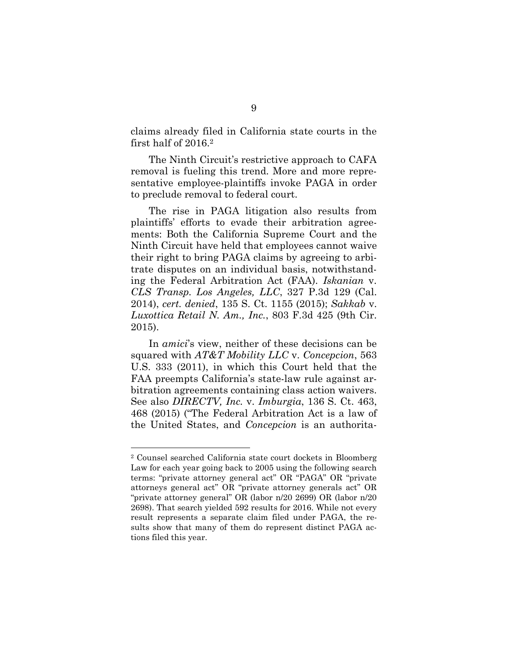claims already filed in California state courts in the first half of 2016.<sup>2</sup>

The Ninth Circuit's restrictive approach to CAFA removal is fueling this trend. More and more representative employee-plaintiffs invoke PAGA in order to preclude removal to federal court.

The rise in PAGA litigation also results from plaintiffs' efforts to evade their arbitration agreements: Both the California Supreme Court and the Ninth Circuit have held that employees cannot waive their right to bring PAGA claims by agreeing to arbitrate disputes on an individual basis, notwithstanding the Federal Arbitration Act (FAA). *Iskanian* v. *CLS Transp. Los Angeles, LLC*, 327 P.3d 129 (Cal. 2014), *cert. denied*, 135 S. Ct. 1155 (2015); *Sakkab* v. *Luxottica Retail N. Am., Inc.*, 803 F.3d 425 (9th Cir. 2015).

In *amici*'s view, neither of these decisions can be squared with *AT&T Mobility LLC* v. *Concepcion*, 563 U.S. 333 (2011), in which this Court held that the FAA preempts California's state-law rule against arbitration agreements containing class action waivers. See also *DIRECTV, Inc.* v. *Imburgia*, 136 S. Ct. 463, 468 (2015) ("The Federal Arbitration Act is a law of the United States, and *Concepcion* is an authorita-

<sup>2</sup> Counsel searched California state court dockets in Bloomberg Law for each year going back to 2005 using the following search terms: "private attorney general act" OR "PAGA" OR "private attorneys general act" OR "private attorney generals act" OR "private attorney general" OR (labor n/20 2699) OR (labor n/20 2698). That search yielded 592 results for 2016. While not every result represents a separate claim filed under PAGA, the results show that many of them do represent distinct PAGA actions filed this year.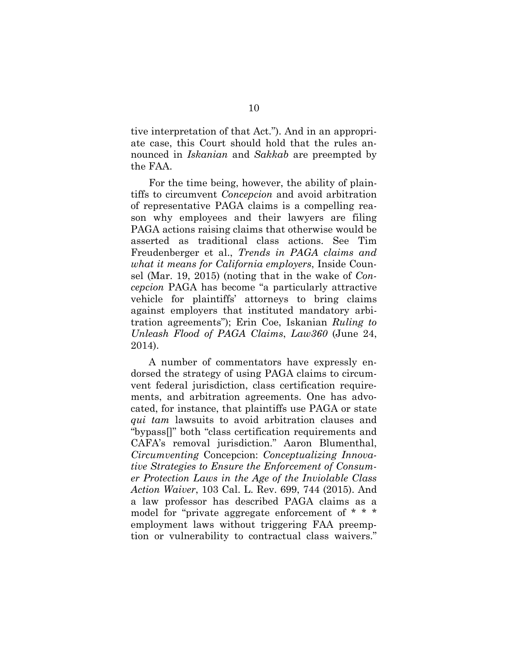tive interpretation of that Act."). And in an appropriate case, this Court should hold that the rules announced in *Iskanian* and *Sakkab* are preempted by the FAA.

For the time being, however, the ability of plaintiffs to circumvent *Concepcion* and avoid arbitration of representative PAGA claims is a compelling reason why employees and their lawyers are filing PAGA actions raising claims that otherwise would be asserted as traditional class actions. See Tim Freudenberger et al., *Trends in PAGA claims and what it means for California employers*, Inside Counsel (Mar. 19, 2015) (noting that in the wake of *Concepcion* PAGA has become "a particularly attractive vehicle for plaintiffs' attorneys to bring claims against employers that instituted mandatory arbitration agreements"); Erin Coe, Iskanian *Ruling to Unleash Flood of PAGA Claims*, *Law360* (June 24, 2014).

A number of commentators have expressly endorsed the strategy of using PAGA claims to circumvent federal jurisdiction, class certification requirements, and arbitration agreements. One has advocated, for instance, that plaintiffs use PAGA or state *qui tam* lawsuits to avoid arbitration clauses and "bypass[]" both "class certification requirements and CAFA's removal jurisdiction." Aaron Blumenthal, *Circumventing* Concepcion: *Conceptualizing Innovative Strategies to Ensure the Enforcement of Consumer Protection Laws in the Age of the Inviolable Class Action Waiver*, 103 Cal. L. Rev. 699, 744 (2015). And a law professor has described PAGA claims as a model for "private aggregate enforcement of \* \* \* employment laws without triggering FAA preemption or vulnerability to contractual class waivers."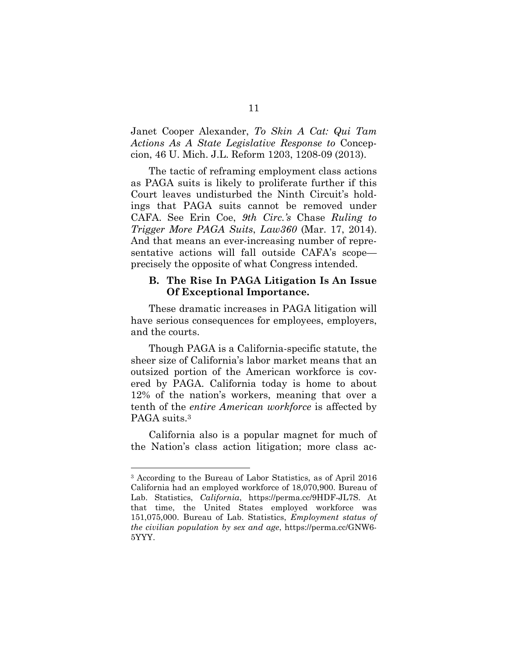Janet Cooper Alexander, *To Skin A Cat: Qui Tam Actions As A State Legislative Response to* Concepcion, 46 U. Mich. J.L. Reform 1203, 1208-09 (2013).

The tactic of reframing employment class actions as PAGA suits is likely to proliferate further if this Court leaves undisturbed the Ninth Circuit's holdings that PAGA suits cannot be removed under CAFA. See Erin Coe, *9th Circ.'s* Chase *Ruling to Trigger More PAGA Suits*, *Law360* (Mar. 17, 2014). And that means an ever-increasing number of representative actions will fall outside CAFA's scope precisely the opposite of what Congress intended.

#### **B. The Rise In PAGA Litigation Is An Issue Of Exceptional Importance.**

These dramatic increases in PAGA litigation will have serious consequences for employees, employers, and the courts.

Though PAGA is a California-specific statute, the sheer size of California's labor market means that an outsized portion of the American workforce is covered by PAGA. California today is home to about 12% of the nation's workers, meaning that over a tenth of the *entire American workforce* is affected by PAGA suits.<sup>3</sup>

California also is a popular magnet for much of the Nation's class action litigation; more class ac-

<sup>3</sup> According to the Bureau of Labor Statistics, as of April 2016 California had an employed workforce of 18,070,900. Bureau of Lab. Statistics, *California*, https://perma.cc/9HDF-JL7S. At that time, the United States employed workforce was 151,075,000. Bureau of Lab. Statistics, *Employment status of the civilian population by sex and age*, https://perma.cc/GNW6- 5YYY.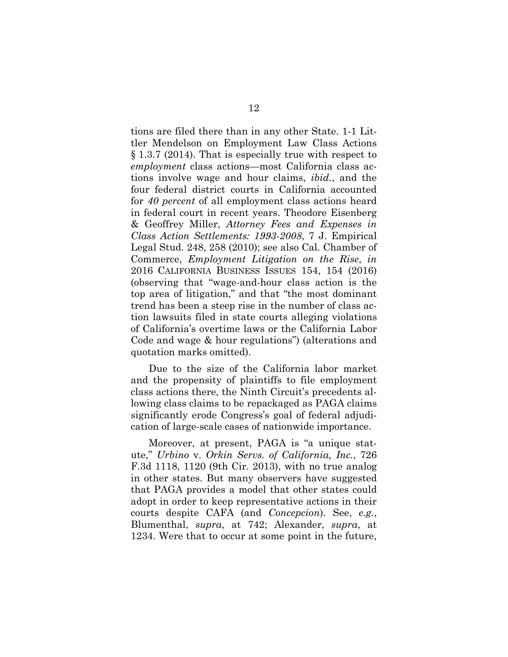tions are filed there than in any other State. 1-1 Littler Mendelson on Employment Law Class Actions § 1.3.7 (2014). That is especially true with respect to *employment* class actions—most California class actions involve wage and hour claims, *ibid.*, and the four federal district courts in California accounted for *40 percent* of all employment class actions heard in federal court in recent years. Theodore Eisenberg & Geoffrey Miller, *Attorney Fees and Expenses in Class Action Settlements: 1993-2008*, 7 J. Empirical Legal Stud. 248, 258 (2010); see also Cal. Chamber of Commerce, *Employment Litigation on the Rise*, *in* 2016 CALIFORNIA BUSINESS ISSUES 154, 154 (2016) (observing that "wage-and-hour class action is the top area of litigation," and that "the most dominant trend has been a steep rise in the number of class action lawsuits filed in state courts alleging violations of California's overtime laws or the California Labor Code and wage & hour regulations") (alterations and quotation marks omitted).

Due to the size of the California labor market and the propensity of plaintiffs to file employment class actions there, the Ninth Circuit's precedents allowing class claims to be repackaged as PAGA claims significantly erode Congress's goal of federal adjudication of large-scale cases of nationwide importance.

Moreover, at present, PAGA is "a unique statute," *Urbino* v. *Orkin Servs. of California, Inc.*, 726 F.3d 1118, 1120 (9th Cir. 2013), with no true analog in other states. But many observers have suggested that PAGA provides a model that other states could adopt in order to keep representative actions in their courts despite CAFA (and *Concepcion*). See, *e.g.*, Blumenthal, *supra*, at 742; Alexander, *supra*, at 1234. Were that to occur at some point in the future,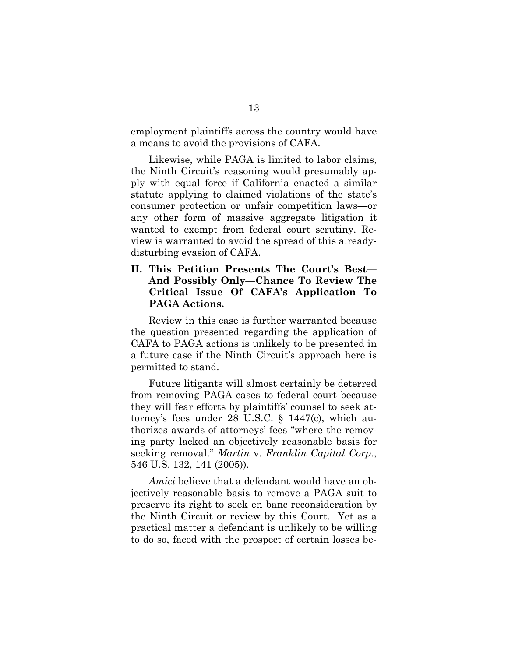employment plaintiffs across the country would have a means to avoid the provisions of CAFA.

Likewise, while PAGA is limited to labor claims, the Ninth Circuit's reasoning would presumably apply with equal force if California enacted a similar statute applying to claimed violations of the state's consumer protection or unfair competition laws—or any other form of massive aggregate litigation it wanted to exempt from federal court scrutiny. Review is warranted to avoid the spread of this alreadydisturbing evasion of CAFA.

**II. This Petition Presents The Court's Best— And Possibly Only—Chance To Review The Critical Issue Of CAFA's Application To PAGA Actions.**

Review in this case is further warranted because the question presented regarding the application of CAFA to PAGA actions is unlikely to be presented in a future case if the Ninth Circuit's approach here is permitted to stand.

Future litigants will almost certainly be deterred from removing PAGA cases to federal court because they will fear efforts by plaintiffs' counsel to seek attorney's fees under 28 U.S.C. § 1447(c), which authorizes awards of attorneys' fees "where the removing party lacked an objectively reasonable basis for seeking removal." *Martin* v. *Franklin Capital Corp*., 546 U.S. 132, 141 (2005)).

*Amici* believe that a defendant would have an objectively reasonable basis to remove a PAGA suit to preserve its right to seek en banc reconsideration by the Ninth Circuit or review by this Court. Yet as a practical matter a defendant is unlikely to be willing to do so, faced with the prospect of certain losses be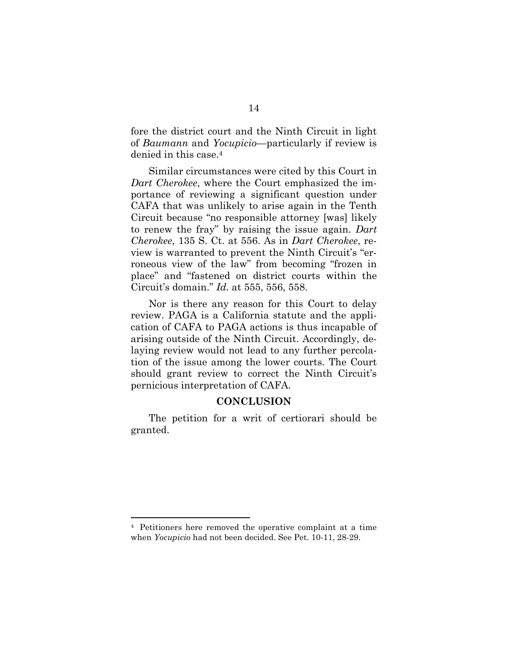fore the district court and the Ninth Circuit in light of *Baumann* and *Yocupicio*—particularly if review is denied in this case.<sup>4</sup>

Similar circumstances were cited by this Court in *Dart Cherokee*, where the Court emphasized the importance of reviewing a significant question under CAFA that was unlikely to arise again in the Tenth Circuit because "no responsible attorney [was] likely to renew the fray" by raising the issue again. *Dart Cherokee*, 135 S. Ct. at 556. As in *Dart Cherokee*, review is warranted to prevent the Ninth Circuit's "erroneous view of the law" from becoming "frozen in place" and "fastened on district courts within the Circuit's domain." *Id.* at 555, 556, 558.

Nor is there any reason for this Court to delay review. PAGA is a California statute and the application of CAFA to PAGA actions is thus incapable of arising outside of the Ninth Circuit. Accordingly, delaying review would not lead to any further percolation of the issue among the lower courts. The Court should grant review to correct the Ninth Circuit's pernicious interpretation of CAFA.

#### **CONCLUSION**

The petition for a writ of certiorari should be granted.

<sup>4</sup> Petitioners here removed the operative complaint at a time when *Yocupicio* had not been decided. See Pet. 10-11, 28-29.